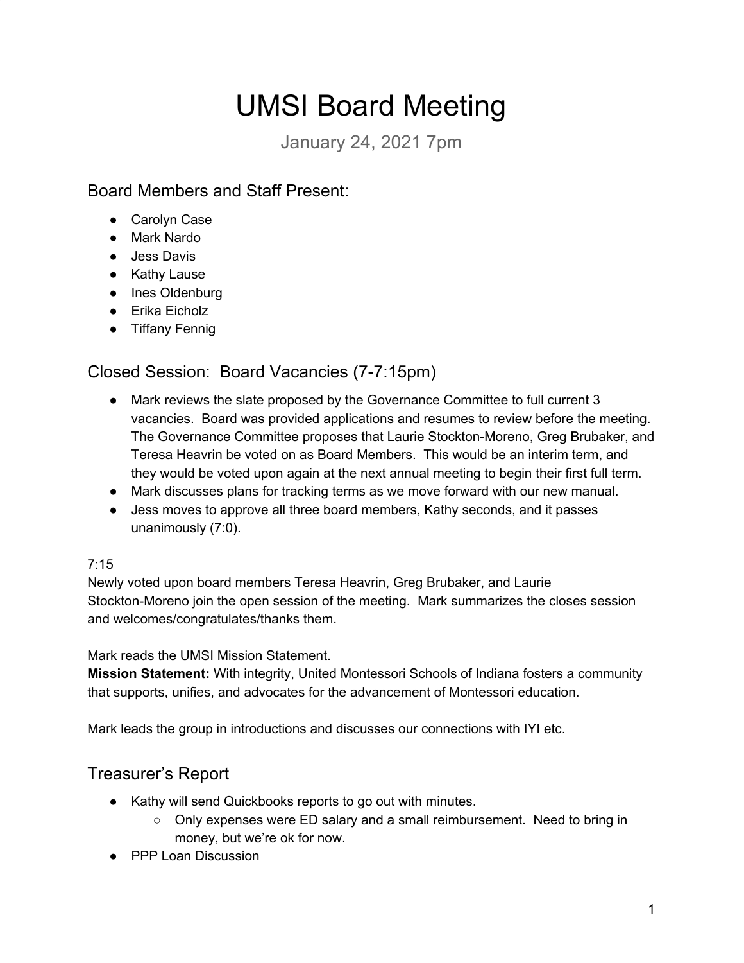# UMSI Board Meeting

Januar\ 24, 2021 7pm

# Board Members and Staff Present:

- Carolyn Case
- Mark Nardo
- Jess Davis
- Kathy Lause
- Ines Oldenburg
- $\bullet$  Erika Eicholz
- Tiffany Fennig

# Closed Session: Board Vacancies (7-7:15pm)

- Mark reviews the slate proposed by the Governance Committee to full current 3 vacancies. Board was provided applications and resumes to review before the meeting. The Governance Committee proposes that Laurie Stockton-Moreno, Greg Brubaker, and Teresa Heavrin be voted on as Board Members. This would be an interim term, and they would be voted upon again at the next annual meeting to begin their first full term.
- Mark discusses plans for tracking terms as we move forward with our new manual.
- Jess moves to approve all three board members, Kathy seconds, and it passes unanimously  $(7:0)$ .

#### 7:15

Newl\ voted upon board members Teresa Heavrin, Greg Brubaker, and Laurie Stockton-Moreno join the open session of the meeting. Mark summarizes the closes session and welcomes/congratulates/thanks them.

#### Mark reads the UMSI Mission Statement.

**Mission Statement:** With integrity, United Montessori Schools of Indiana fosters a community that supports, unifies, and advocates for the advancement of Montessori education.

Mark leads the group in introductions and discusses our connections with IYI etc.

# Treasurer's Report

- Kathy will send Quickbooks reports to go out with minutes.
	- $\circ$  Only expenses were ED salary and a small reimbursement. Need to bring in money, but we're ok for now.
- PPP Loan Discussion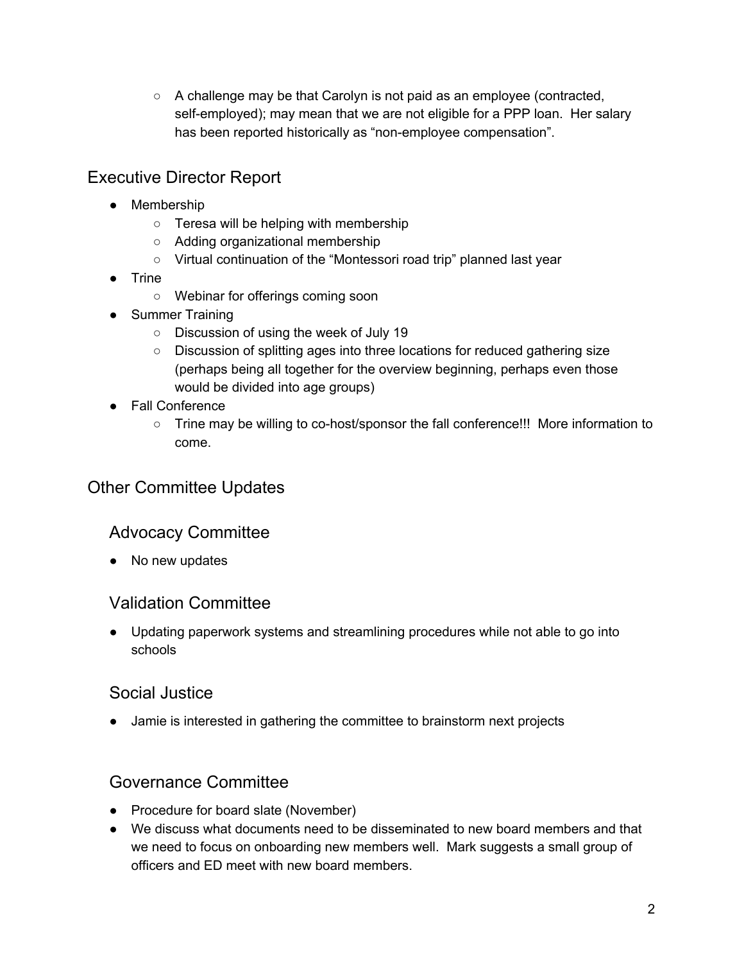$\circ$  A challenge may be that Carolyn is not paid as an employee (contracted, self-employed); may mean that we are not eligible for a PPP loan. Her salary has been reported historically as "non-employee compensation".

# Executive Director Report

- Membership
	- $\circ$  Teresa will be helping with membership
	- $\circ$  Adding organizational membership
	- $\circ$  Virtual continuation of the "Montessori road trip" planned last year
- Trine
	- $\circ$  Webinar for offerings coming soon
- Summer Training
	- $\circ$  Discussion of using the week of July 19
	- $\circ$  Discussion of splitting ages into three locations for reduced gathering size (perhaps being all together for the overview beginning, perhaps even those would be divided into age groups)
- Fall Conference
	- $\circ$  Trine may be willing to co-host/sponsor the fall conference!!! More information to come.

# Other Committee Updates

## **Advocacy Committee**

• No new updates

#### Validation Committee

• Updating paperwork systems and streamlining procedures while not able to go into schools

#### Social Justice

• Jamie is interested in gathering the committee to brainstorm next projects

## Governance Committee

- Procedure for board slate (November)
- We discuss what documents need to be disseminated to new board members and that we need to focus on onboarding new members well. Mark suggests a small group of officers and ED meet with new board members.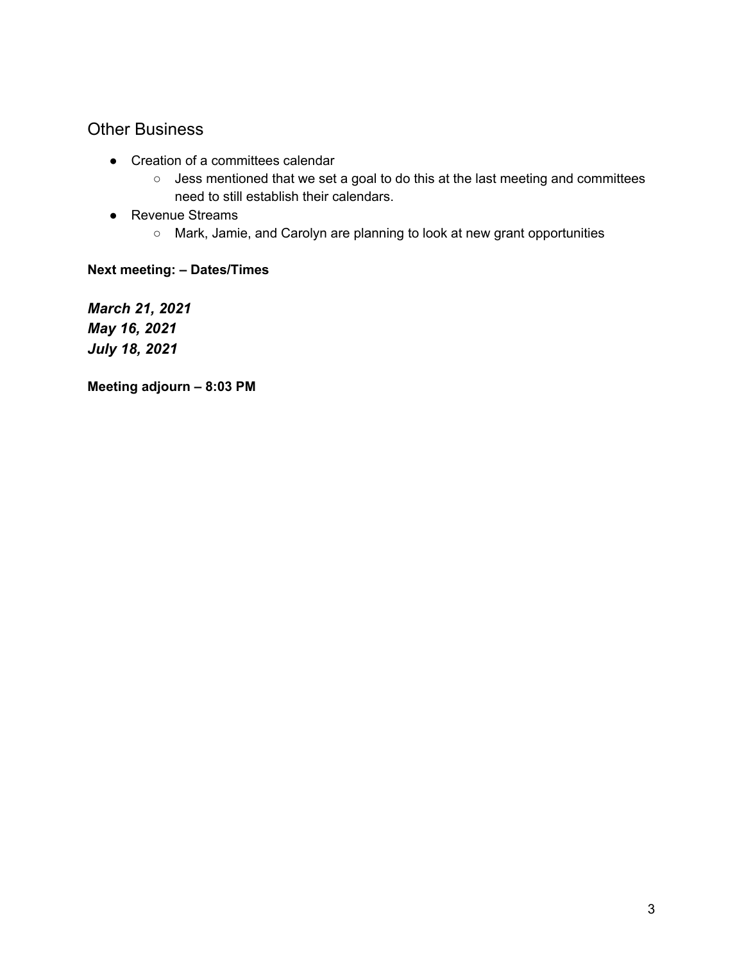## Other Business

- Creation of a committees calendar
	- $\circ$  Jess mentioned that we set a goal to do this at the last meeting and committees need to still establish their calendars.
- Revenue Streams
	- $\circ$  Mark, Jamie, and Carolyn are planning to look at new grant opportunities

#### **Next meeting: - Dates/Times**

*March 21, 2021 May 16, 2021 July 18, 2021*

**Meeting adjourn - 8:03 PM**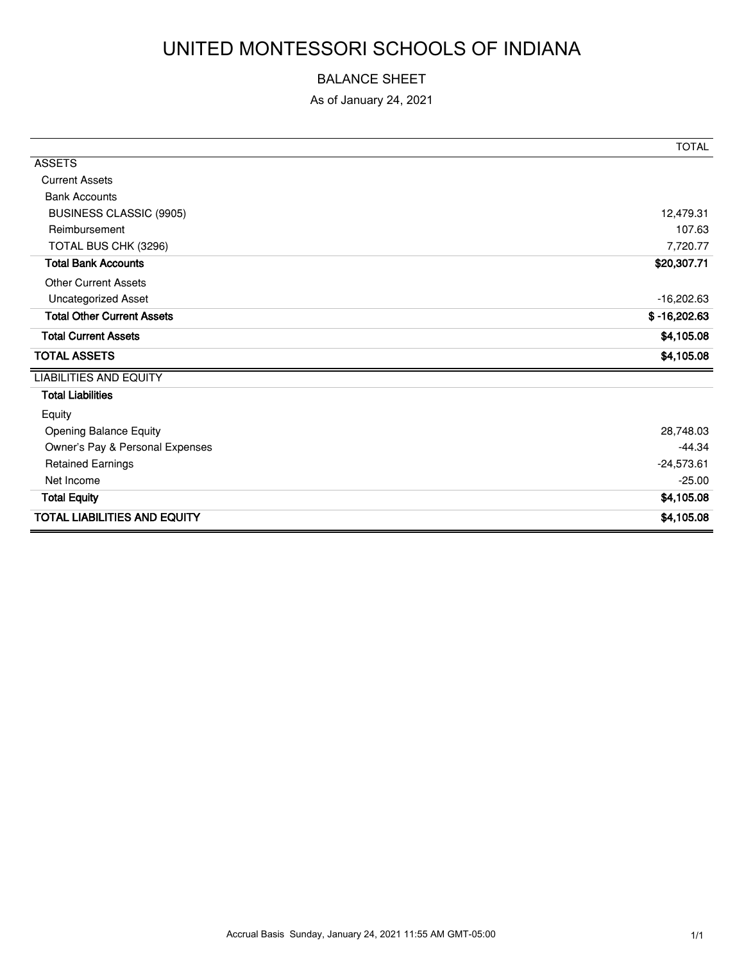# UNITED MONTESSORI SCHOOLS OF INDIANA

#### BALANCE SHEET

As of January 24, 2021

|                                     | <b>TOTAL</b>   |
|-------------------------------------|----------------|
| <b>ASSETS</b>                       |                |
| <b>Current Assets</b>               |                |
| <b>Bank Accounts</b>                |                |
| <b>BUSINESS CLASSIC (9905)</b>      | 12,479.31      |
| Reimbursement                       | 107.63         |
| TOTAL BUS CHK (3296)                | 7,720.77       |
| <b>Total Bank Accounts</b>          | \$20,307.71    |
| <b>Other Current Assets</b>         |                |
| <b>Uncategorized Asset</b>          | $-16,202.63$   |
| <b>Total Other Current Assets</b>   | $$ -16,202.63$ |
| <b>Total Current Assets</b>         | \$4,105.08     |
| <b>TOTAL ASSETS</b>                 | \$4,105.08     |
| <b>LIABILITIES AND EQUITY</b>       |                |
| <b>Total Liabilities</b>            |                |
| Equity                              |                |
| Opening Balance Equity              | 28,748.03      |
| Owner's Pay & Personal Expenses     | $-44.34$       |
| <b>Retained Earnings</b>            | $-24,573.61$   |
| Net Income                          | $-25.00$       |
| <b>Total Equity</b>                 | \$4,105.08     |
| <b>TOTAL LIABILITIES AND EQUITY</b> | \$4,105.08     |